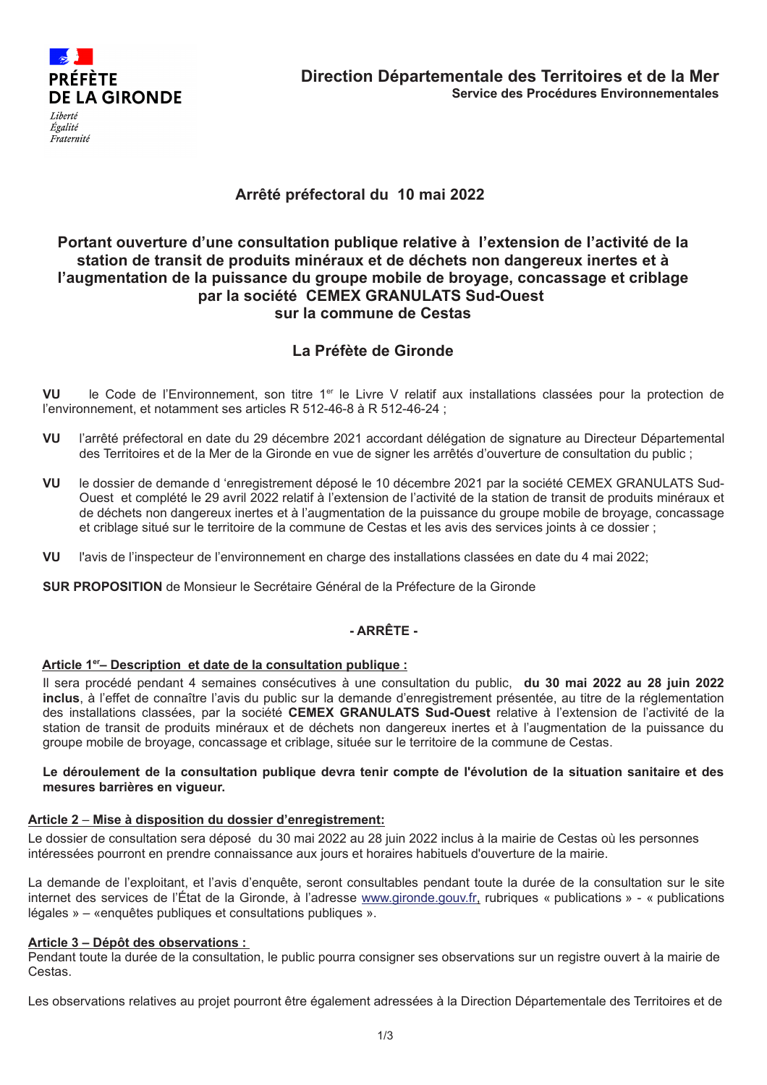

# Arrêté préfectoral du 10 mai 2022

## Portant ouverture d'une consultation publique relative à l'extension de l'activité de la station de transit de produits minéraux et de déchets non dangereux inertes et à l'augmentation de la puissance du groupe mobile de broyage, concassage et criblage par la société CEMEX GRANULATS Sud-Ouest sur la commune de Cestas

# La Préfète de Gironde

VU le Code de l'Environnement, son titre 1<sup>er</sup> le Livre V relatif aux installations classées pour la protection de l'environnement, et notamment ses articles R 512-46-8 à R 512-46-24 ;

- VU l'arrêté préfectoral en date du 29 décembre 2021 accordant délégation de signature au Directeur Départemental des Territoires et de la Mer de la Gironde en vue de signer les arrêtés d'ouverture de consultation du public;
- VU le dossier de demande d'enregistrement déposé le 10 décembre 2021 par la société CEMEX GRANULATS Sud-Ouest et complété le 29 avril 2022 relatif à l'extension de l'activité de la station de transit de produits minéraux et de déchets non dangereux inertes et à l'augmentation de la puissance du groupe mobile de broyage, concassage et criblage situé sur le territoire de la commune de Cestas et les avis des services joints à ce dossier ;
- VU l'avis de l'inspecteur de l'environnement en charge des installations classées en date du 4 mai 2022:

SUR PROPOSITION de Monsieur le Secrétaire Général de la Préfecture de la Gironde

## - ARRÊTE -

## Article 1<sup>er</sup>-Description et date de la consultation publique :

Il sera procédé pendant 4 semaines consécutives à une consultation du public, du 30 mai 2022 au 28 juin 2022 inclus, à l'effet de connaître l'avis du public sur la demande d'enregistrement présentée, au titre de la réglementation des installations classées, par la société CEMEX GRANULATS Sud-Ouest relative à l'extension de l'activité de la station de transit de produits minéraux et de déchets non dangereux inertes et à l'augmentation de la puissance du groupe mobile de broyage, concassage et criblage, située sur le territoire de la commune de Cestas.

#### Le déroulement de la consultation publique devra tenir compte de l'évolution de la situation sanitaire et des mesures barrières en viqueur.

#### Article 2 - Mise à disposition du dossier d'enregistrement:

Le dossier de consultation sera déposé du 30 mai 2022 au 28 juin 2022 inclus à la mairie de Cestas où les personnes intéressées pourront en prendre connaissance aux jours et horaires habituels d'ouverture de la mairie.

La demande de l'exploitant, et l'avis d'enquête, seront consultables pendant toute la durée de la consultation sur le site internet des services de l'État de la Gironde, à l'adresse www.gironde.gouv.fr, rubriques « publications » - « publications légales » – «enquêtes publiques et consultations publiques ».

## Article 3 – Dépôt des observations :

Pendant toute la durée de la consultation, le public pourra consigner ses observations sur un registre ouvert à la mairie de Cestas.

Les observations relatives au proiet pourront être également adressées à la Direction Départementale des Territoires et de